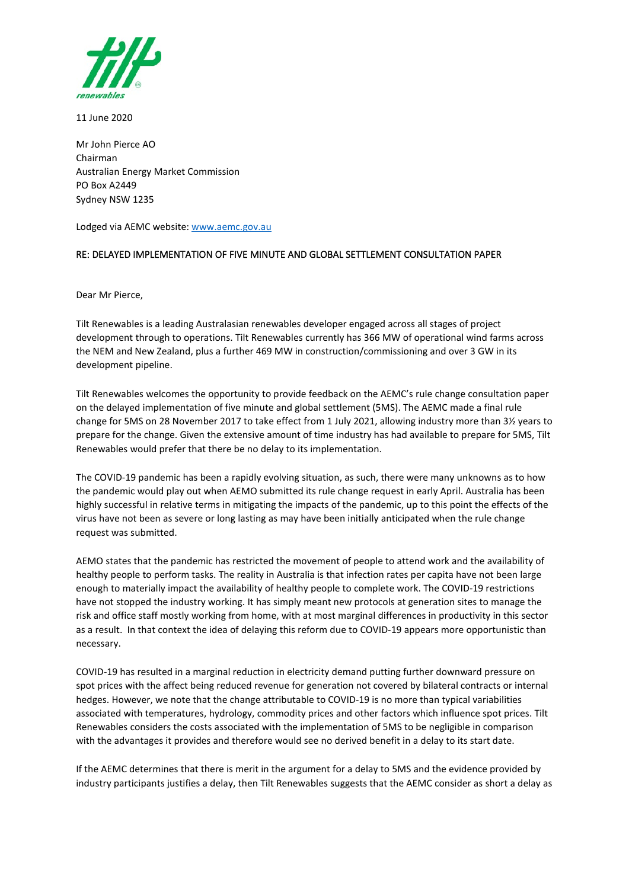

11 June 2020

Mr John Pierce AO Chairman Australian Energy Market Commission PO Box A2449 Sydney NSW 1235

Lodged via AEMC website[: www.aemc.gov.au](http://www.aemc.gov.au/)

## RE: DELAYED IMPLEMENTATION OF FIVE MINUTE AND GLOBAL SETTLEMENT CONSULTATION PAPER

Dear Mr Pierce,

Tilt Renewables is a leading Australasian renewables developer engaged across all stages of project development through to operations. Tilt Renewables currently has 366 MW of operational wind farms across the NEM and New Zealand, plus a further 469 MW in construction/commissioning and over 3 GW in its development pipeline.

Tilt Renewables welcomes the opportunity to provide feedback on the AEMC's rule change consultation paper on the delayed implementation of five minute and global settlement (5MS). The AEMC made a final rule change for 5MS on 28 November 2017 to take effect from 1 July 2021, allowing industry more than 3½ years to prepare for the change. Given the extensive amount of time industry has had available to prepare for 5MS, Tilt Renewables would prefer that there be no delay to its implementation.

The COVID-19 pandemic has been a rapidly evolving situation, as such, there were many unknowns as to how the pandemic would play out when AEMO submitted its rule change request in early April. Australia has been highly successful in relative terms in mitigating the impacts of the pandemic, up to this point the effects of the virus have not been as severe or long lasting as may have been initially anticipated when the rule change request was submitted.

AEMO states that the pandemic has restricted the movement of people to attend work and the availability of healthy people to perform tasks. The reality in Australia is that infection rates per capita have not been large enough to materially impact the availability of healthy people to complete work. The COVID-19 restrictions have not stopped the industry working. It has simply meant new protocols at generation sites to manage the risk and office staff mostly working from home, with at most marginal differences in productivity in this sector as a result. In that context the idea of delaying this reform due to COVID-19 appears more opportunistic than necessary.

COVID-19 has resulted in a marginal reduction in electricity demand putting further downward pressure on spot prices with the affect being reduced revenue for generation not covered by bilateral contracts or internal hedges. However, we note that the change attributable to COVID-19 is no more than typical variabilities associated with temperatures, hydrology, commodity prices and other factors which influence spot prices. Tilt Renewables considers the costs associated with the implementation of 5MS to be negligible in comparison with the advantages it provides and therefore would see no derived benefit in a delay to its start date.

If the AEMC determines that there is merit in the argument for a delay to 5MS and the evidence provided by industry participants justifies a delay, then Tilt Renewables suggests that the AEMC consider as short a delay as